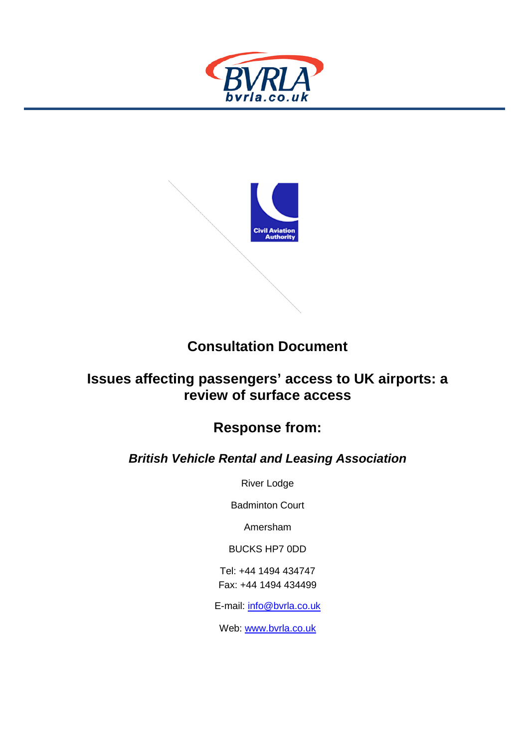



# **Consultation Document**

## **Issues affecting passengers' access to UK airports: a review of surface access**

# **Response from:**

## *British Vehicle Rental and Leasing Association*

River Lodge

Badminton Court

Amersham

BUCKS HP7 0DD

Tel: +44 1494 434747 Fax: +44 1494 434499

E-mail: [info@bvrla.co.uk](mailto:info@bvrla.co.uk)

Web: [www.bvrla.co.uk](http://www.bvrla.co.uk/)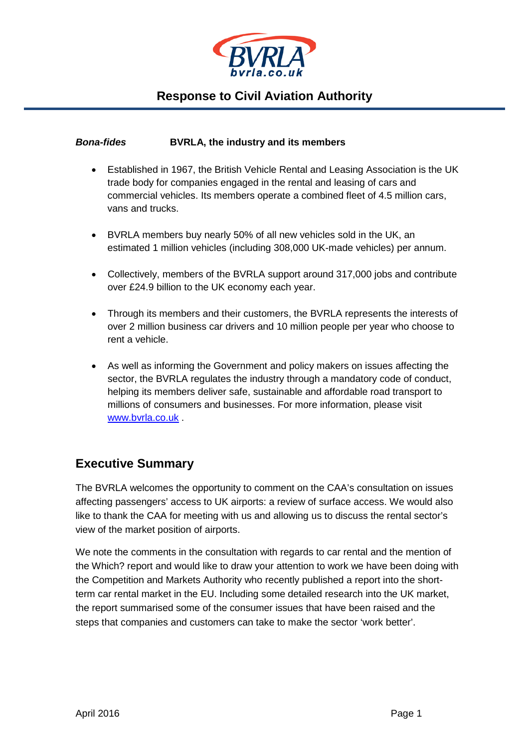

#### *Bona-fides* **BVRLA, the industry and its members**

- Established in 1967, the British Vehicle Rental and Leasing Association is the UK trade body for companies engaged in the rental and leasing of cars and commercial vehicles. Its members operate a combined fleet of 4.5 million cars, vans and trucks.
- BVRLA members buy nearly 50% of all new vehicles sold in the UK, an estimated 1 million vehicles (including 308,000 UK-made vehicles) per annum.
- Collectively, members of the BVRLA support around 317,000 jobs and contribute over £24.9 billion to the UK economy each year.
- Through its members and their customers, the BVRLA represents the interests of over 2 million business car drivers and 10 million people per year who choose to rent a vehicle.
- As well as informing the Government and policy makers on issues affecting the sector, the BVRLA regulates the industry through a mandatory code of conduct, helping its members deliver safe, sustainable and affordable road transport to millions of consumers and businesses. For more information, please visit [www.bvrla.co.uk](http://www.bvrla.co.uk/) .

### **Executive Summary**

The BVRLA welcomes the opportunity to comment on the CAA's consultation on issues affecting passengers' access to UK airports: a review of surface access. We would also like to thank the CAA for meeting with us and allowing us to discuss the rental sector's view of the market position of airports.

We note the comments in the consultation with regards to car rental and the mention of the Which? report and would like to draw your attention to work we have been doing with the Competition and Markets Authority who recently published a report into the shortterm car rental market in the EU. Including some detailed research into the UK market, the report summarised some of the consumer issues that have been raised and the steps that companies and customers can take to make the sector 'work better'.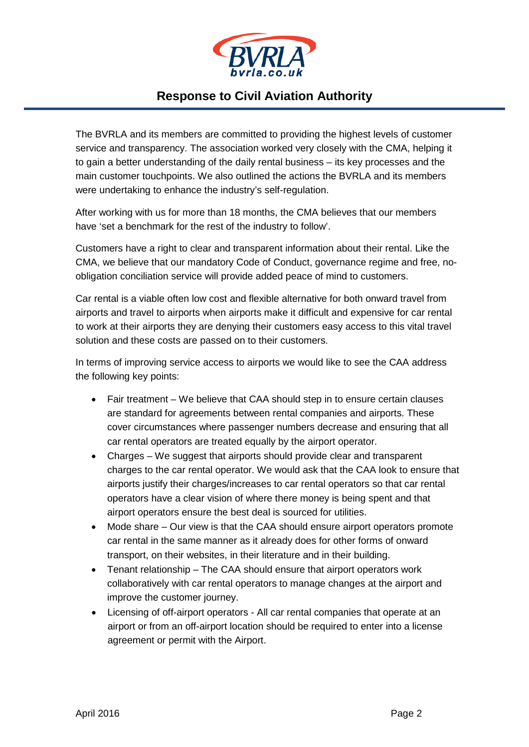

The BVRLA and its members are committed to providing the highest levels of customer service and transparency. The association worked very closely with the CMA, helping it to gain a better understanding of the daily rental business – its key processes and the main customer touchpoints. We also outlined the actions the BVRLA and its members were undertaking to enhance the industry's self-regulation.

After working with us for more than 18 months, the CMA believes that our members have 'set a benchmark for the rest of the industry to follow'.

Customers have a right to clear and transparent information about their rental. Like the CMA, we believe that our mandatory Code of Conduct, governance regime and free, noobligation conciliation service will provide added peace of mind to customers.

Car rental is a viable often low cost and flexible alternative for both onward travel from airports and travel to airports when airports make it difficult and expensive for car rental to work at their airports they are denying their customers easy access to this vital travel solution and these costs are passed on to their customers.

In terms of improving service access to airports we would like to see the CAA address the following key points:

- Fair treatment We believe that CAA should step in to ensure certain clauses are standard for agreements between rental companies and airports. These cover circumstances where passenger numbers decrease and ensuring that all car rental operators are treated equally by the airport operator.
- Charges We suggest that airports should provide clear and transparent charges to the car rental operator. We would ask that the CAA look to ensure that airports justify their charges/increases to car rental operators so that car rental operators have a clear vision of where there money is being spent and that airport operators ensure the best deal is sourced for utilities.
- Mode share Our view is that the CAA should ensure airport operators promote car rental in the same manner as it already does for other forms of onward transport, on their websites, in their literature and in their building.
- Tenant relationship The CAA should ensure that airport operators work collaboratively with car rental operators to manage changes at the airport and improve the customer journey.
- Licensing of off-airport operators All car rental companies that operate at an airport or from an off-airport location should be required to enter into a license agreement or permit with the Airport.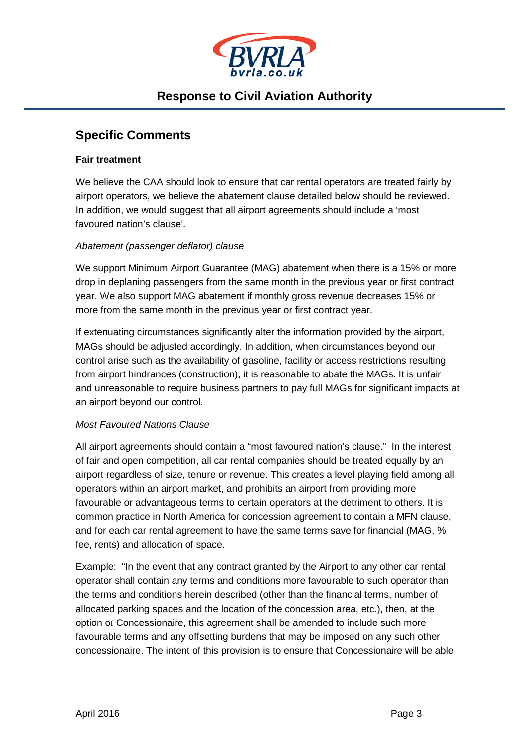

#### **Specific Comments**

#### **Fair treatment**

We believe the CAA should look to ensure that car rental operators are treated fairly by airport operators, we believe the abatement clause detailed below should be reviewed. In addition, we would suggest that all airport agreements should include a 'most favoured nation's clause'.

#### *Abatement (passenger deflator) clause*

We support Minimum Airport Guarantee (MAG) abatement when there is a 15% or more drop in deplaning passengers from the same month in the previous year or first contract year. We also support MAG abatement if monthly gross revenue decreases 15% or more from the same month in the previous year or first contract year.

If extenuating circumstances significantly alter the information provided by the airport, MAGs should be adjusted accordingly. In addition, when circumstances beyond our control arise such as the availability of gasoline, facility or access restrictions resulting from airport hindrances (construction), it is reasonable to abate the MAGs. It is unfair and unreasonable to require business partners to pay full MAGs for significant impacts at an airport beyond our control.

#### *Most Favoured Nations Clause*

All airport agreements should contain a "most favoured nation's clause." In the interest of fair and open competition, all car rental companies should be treated equally by an airport regardless of size, tenure or revenue. This creates a level playing field among all operators within an airport market, and prohibits an airport from providing more favourable or advantageous terms to certain operators at the detriment to others. It is common practice in North America for concession agreement to contain a MFN clause, and for each car rental agreement to have the same terms save for financial (MAG, % fee, rents) and allocation of space.

Example: "In the event that any contract granted by the Airport to any other car rental operator shall contain any terms and conditions more favourable to such operator than the terms and conditions herein described (other than the financial terms, number of allocated parking spaces and the location of the concession area, etc.), then, at the option of Concessionaire, this agreement shall be amended to include such more favourable terms and any offsetting burdens that may be imposed on any such other concessionaire. The intent of this provision is to ensure that Concessionaire will be able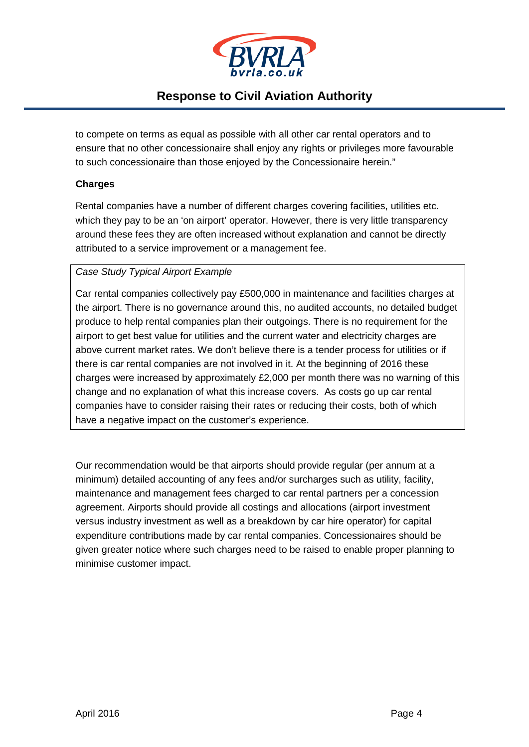

to compete on terms as equal as possible with all other car rental operators and to ensure that no other concessionaire shall enjoy any rights or privileges more favourable to such concessionaire than those enjoyed by the Concessionaire herein."

#### **Charges**

Rental companies have a number of different charges covering facilities, utilities etc. which they pay to be an 'on airport' operator. However, there is very little transparency around these fees they are often increased without explanation and cannot be directly attributed to a service improvement or a management fee.

#### *Case Study Typical Airport Example*

Car rental companies collectively pay £500,000 in maintenance and facilities charges at the airport. There is no governance around this, no audited accounts, no detailed budget produce to help rental companies plan their outgoings. There is no requirement for the airport to get best value for utilities and the current water and electricity charges are above current market rates. We don't believe there is a tender process for utilities or if there is car rental companies are not involved in it. At the beginning of 2016 these charges were increased by approximately £2,000 per month there was no warning of this change and no explanation of what this increase covers. As costs go up car rental companies have to consider raising their rates or reducing their costs, both of which have a negative impact on the customer's experience.

Our recommendation would be that airports should provide regular (per annum at a minimum) detailed accounting of any fees and/or surcharges such as utility, facility, maintenance and management fees charged to car rental partners per a concession agreement. Airports should provide all costings and allocations (airport investment versus industry investment as well as a breakdown by car hire operator) for capital expenditure contributions made by car rental companies. Concessionaires should be given greater notice where such charges need to be raised to enable proper planning to minimise customer impact.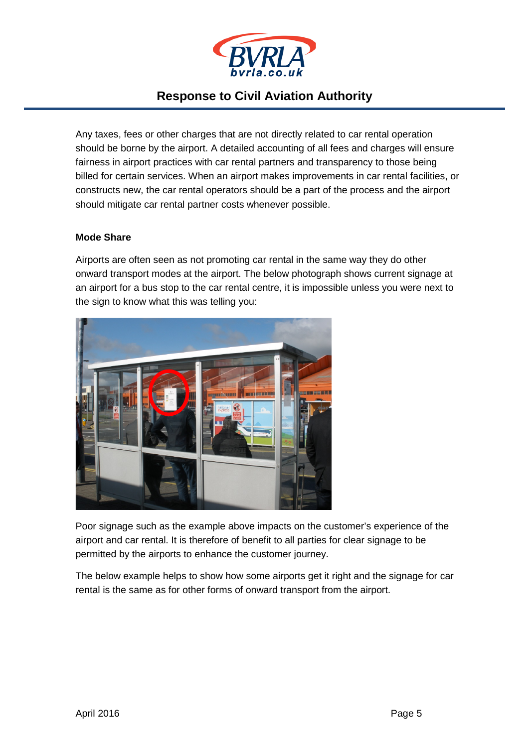

Any taxes, fees or other charges that are not directly related to car rental operation should be borne by the airport. A detailed accounting of all fees and charges will ensure fairness in airport practices with car rental partners and transparency to those being billed for certain services. When an airport makes improvements in car rental facilities, or constructs new, the car rental operators should be a part of the process and the airport should mitigate car rental partner costs whenever possible.

#### **Mode Share**

Airports are often seen as not promoting car rental in the same way they do other onward transport modes at the airport. The below photograph shows current signage at an airport for a bus stop to the car rental centre, it is impossible unless you were next to the sign to know what this was telling you:



Poor signage such as the example above impacts on the customer's experience of the airport and car rental. It is therefore of benefit to all parties for clear signage to be permitted by the airports to enhance the customer journey.

The below example helps to show how some airports get it right and the signage for car rental is the same as for other forms of onward transport from the airport.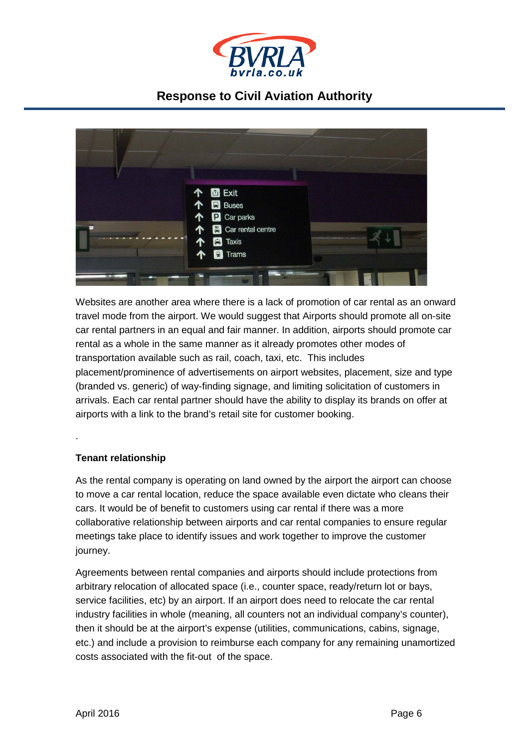



Websites are another area where there is a lack of promotion of car rental as an onward travel mode from the airport. We would suggest that Airports should promote all on-site car rental partners in an equal and fair manner. In addition, airports should promote car rental as a whole in the same manner as it already promotes other modes of transportation available such as rail, coach, taxi, etc. This includes placement/prominence of advertisements on airport websites, placement, size and type (branded vs. generic) of way-finding signage, and limiting solicitation of customers in arrivals. Each car rental partner should have the ability to display its brands on offer at airports with a link to the brand's retail site for customer booking.

#### **Tenant relationship**

.

As the rental company is operating on land owned by the airport the airport can choose to move a car rental location, reduce the space available even dictate who cleans their cars. It would be of benefit to customers using car rental if there was a more collaborative relationship between airports and car rental companies to ensure regular meetings take place to identify issues and work together to improve the customer journey.

Agreements between rental companies and airports should include protections from arbitrary relocation of allocated space (i.e., counter space, ready/return lot or bays, service facilities, etc) by an airport. If an airport does need to relocate the car rental industry facilities in whole (meaning, all counters not an individual company's counter), then it should be at the airport's expense (utilities, communications, cabins, signage, etc.) and include a provision to reimburse each company for any remaining unamortized costs associated with the fit-out of the space.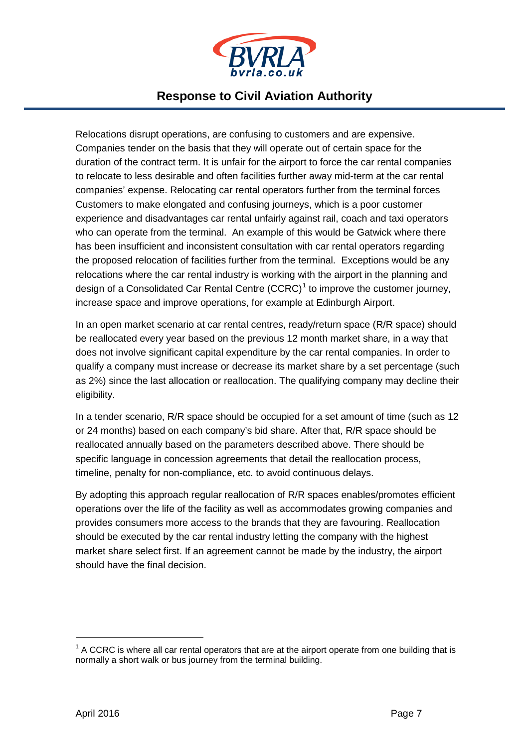

Relocations disrupt operations, are confusing to customers and are expensive. Companies tender on the basis that they will operate out of certain space for the duration of the contract term. It is unfair for the airport to force the car rental companies to relocate to less desirable and often facilities further away mid-term at the car rental companies' expense. Relocating car rental operators further from the terminal forces Customers to make elongated and confusing journeys, which is a poor customer experience and disadvantages car rental unfairly against rail, coach and taxi operators who can operate from the terminal. An example of this would be Gatwick where there has been insufficient and inconsistent consultation with car rental operators regarding the proposed relocation of facilities further from the terminal. Exceptions would be any relocations where the car rental industry is working with the airport in the planning and design of a Consolidated Car Rental Centre  $(CCRC)^1$  $(CCRC)^1$  to improve the customer journey, increase space and improve operations, for example at Edinburgh Airport.

In an open market scenario at car rental centres, ready/return space (R/R space) should be reallocated every year based on the previous 12 month market share, in a way that does not involve significant capital expenditure by the car rental companies. In order to qualify a company must increase or decrease its market share by a set percentage (such as 2%) since the last allocation or reallocation. The qualifying company may decline their eligibility.

In a tender scenario, R/R space should be occupied for a set amount of time (such as 12 or 24 months) based on each company's bid share. After that, R/R space should be reallocated annually based on the parameters described above. There should be specific language in concession agreements that detail the reallocation process, timeline, penalty for non-compliance, etc. to avoid continuous delays.

By adopting this approach regular reallocation of R/R spaces enables/promotes efficient operations over the life of the facility as well as accommodates growing companies and provides consumers more access to the brands that they are favouring. Reallocation should be executed by the car rental industry letting the company with the highest market share select first. If an agreement cannot be made by the industry, the airport should have the final decision.

<span id="page-7-0"></span> $<sup>1</sup>$  A CCRC is where all car rental operators that are at the airport operate from one building that is</sup> normally a short walk or bus journey from the terminal building.